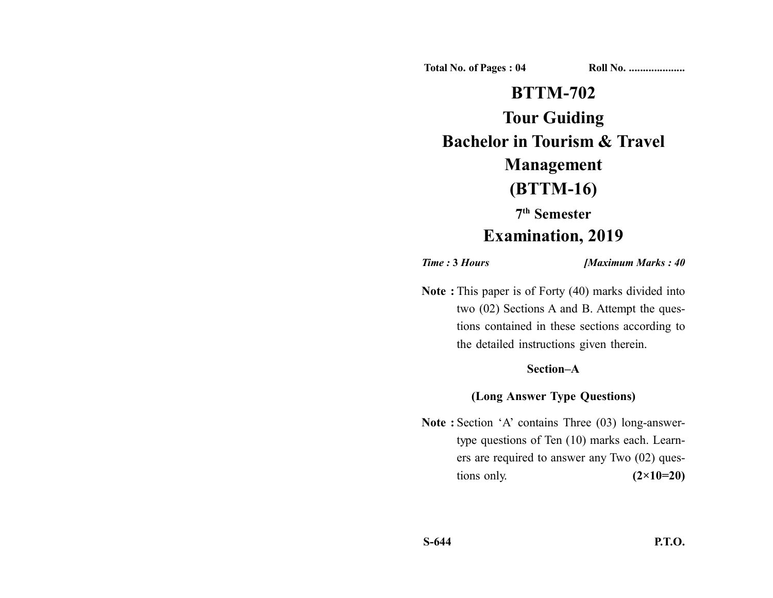**Total No. of Pages : 04 Roll No. ....................**

# **BTTM-702**

**Tour Guiding Bachelor in Tourism & Travel**

## **Management**

## **(BTTM-16)**

**7th Semester**

### **Examination, 2019**

*Time :* **3** *Hours [Maximum Marks : 40*

**Note :** This paper is of Forty (40) marks divided into two (02) Sections A and B. Attempt the questions contained in these sections according to the detailed instructions given therein.

#### **Section–A**

#### **(Long Answer Type Questions)**

**Note :** Section 'A' contains Three (03) long-answertype questions of Ten (10) marks each. Learners are required to answer any Two (02) questions only. **(2×10=20)**